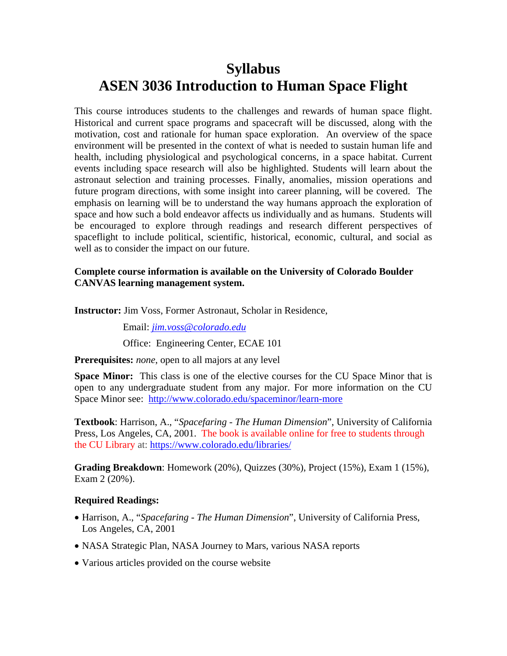# **Syllabus ASEN 3036 Introduction to Human Space Flight**

This course introduces students to the challenges and rewards of human space flight. Historical and current space programs and spacecraft will be discussed, along with the motivation, cost and rationale for human space exploration. An overview of the space environment will be presented in the context of what is needed to sustain human life and health, including physiological and psychological concerns, in a space habitat. Current events including space research will also be highlighted. Students will learn about the astronaut selection and training processes. Finally, anomalies, mission operations and future program directions, with some insight into career planning, will be covered. The emphasis on learning will be to understand the way humans approach the exploration of space and how such a bold endeavor affects us individually and as humans. Students will be encouraged to explore through readings and research different perspectives of spaceflight to include political, scientific, historical, economic, cultural, and social as well as to consider the impact on our future.

## **Complete course information is available on the University of Colorado Boulder CANVAS learning management system.**

**Instructor:** Jim Voss, Former Astronaut, Scholar in Residence,

Email: *[jim.voss@colorado.edu](mailto:jim.voss@colorado.edu)*

Office: Engineering Center, ECAE 101

**Prerequisites:** *none*, open to all majors at any level

**Space Minor:** This class is one of the elective courses for the CU Space Minor that is open to any undergraduate student from any major. For more information on the CU Space Minor see: <http://www.colorado.edu/spaceminor/learn-more>

**Textbook**: Harrison, A., "*Spacefaring - The Human Dimension*", University of California Press, Los Angeles, CA, 2001. The book is available online for free to students through the CU Library at: <https://www.colorado.edu/libraries/>

**Grading Breakdown**: Homework (20%), Quizzes (30%), Project (15%), Exam 1 (15%), Exam 2 (20%).

## **Required Readings:**

- Harrison, A., "*Spacefaring - The Human Dimension*", University of California Press, Los Angeles, CA, 2001
- NASA Strategic Plan, NASA Journey to Mars, various NASA reports
- Various articles provided on the course website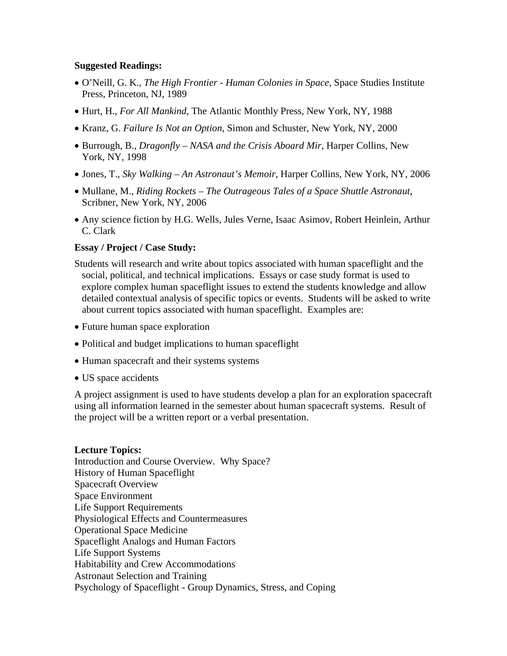#### **Suggested Readings:**

- O'Neill, G. K., *The High Frontier - Human Colonies in Space*, Space Studies Institute Press, Princeton, NJ, 1989
- Hurt, H., *For All Mankind*, The Atlantic Monthly Press, New York, NY, 1988
- Kranz, G. *Failure Is Not an Option*, Simon and Schuster, New York, NY, 2000
- Burrough, B., *Dragonfly – NASA and the Crisis Aboard Mir*, Harper Collins, New York, NY, 1998
- Jones, T., *Sky Walking – An Astronaut's Memoir*, Harper Collins, New York, NY, 2006
- Mullane, M., *Riding Rockets – The Outrageous Tales of a Space Shuttle Astronaut*, Scribner, New York, NY, 2006
- Any science fiction by H.G. Wells, Jules Verne, Isaac Asimov, Robert Heinlein, Arthur C. Clark

### **Essay / Project / Case Study:**

- Students will research and write about topics associated with human spaceflight and the social, political, and technical implications. Essays or case study format is used to explore complex human spaceflight issues to extend the students knowledge and allow detailed contextual analysis of specific topics or events. Students will be asked to write about current topics associated with human spaceflight. Examples are:
- Future human space exploration
- Political and budget implications to human spaceflight
- Human spacecraft and their systems systems
- US space accidents

A project assignment is used to have students develop a plan for an exploration spacecraft using all information learned in the semester about human spacecraft systems. Result of the project will be a written report or a verbal presentation.

#### **Lecture Topics:**

Introduction and Course Overview. Why Space? History of Human Spaceflight Spacecraft Overview Space Environment Life Support Requirements Physiological Effects and Countermeasures Operational Space Medicine Spaceflight Analogs and Human Factors Life Support Systems Habitability and Crew Accommodations Astronaut Selection and Training Psychology of Spaceflight - Group Dynamics, Stress, and Coping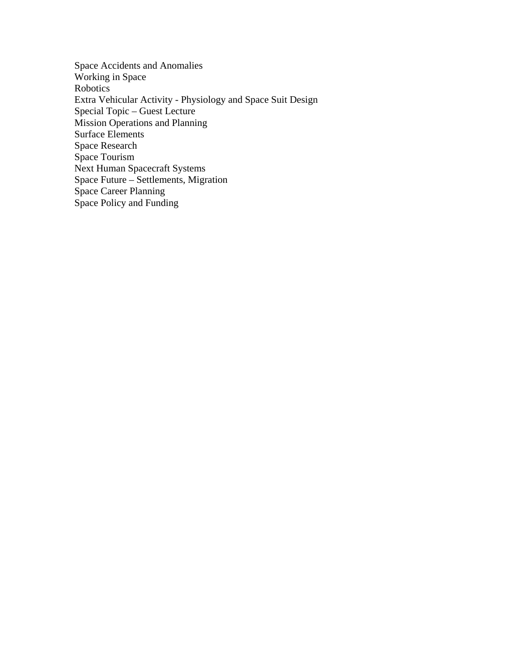Space Accidents and Anomalies Working in Space Robotics Extra Vehicular Activity - Physiology and Space Suit Design Special Topic – Guest Lecture Mission Operations and Planning Surface Elements Space Research Space Tourism Next Human Spacecraft Systems Space Future – Settlements, Migration Space Career Planning Space Policy and Funding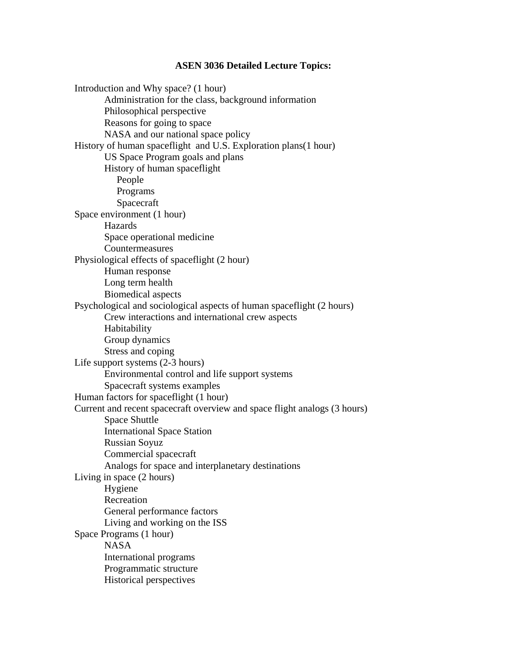#### **ASEN 3036 Detailed Lecture Topics:**

Introduction and Why space? (1 hour) Administration for the class, background information Philosophical perspective Reasons for going to space NASA and our national space policy History of human spaceflight and U.S. Exploration plans(1 hour) US Space Program goals and plans History of human spaceflight People Programs Spacecraft Space environment (1 hour) Hazards Space operational medicine Countermeasures Physiological effects of spaceflight (2 hour) Human response Long term health Biomedical aspects Psychological and sociological aspects of human spaceflight (2 hours) Crew interactions and international crew aspects Habitability Group dynamics Stress and coping Life support systems (2-3 hours) Environmental control and life support systems Spacecraft systems examples Human factors for spaceflight (1 hour) Current and recent spacecraft overview and space flight analogs (3 hours) Space Shuttle International Space Station Russian Soyuz Commercial spacecraft Analogs for space and interplanetary destinations Living in space (2 hours) Hygiene Recreation General performance factors Living and working on the ISS Space Programs (1 hour) NASA International programs Programmatic structure Historical perspectives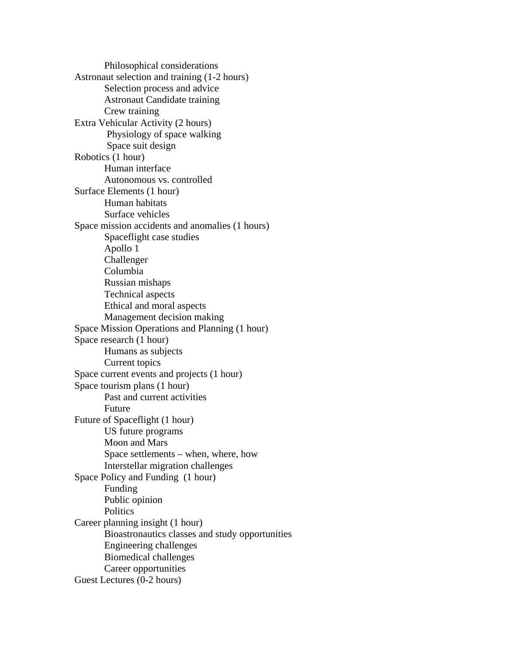Philosophical considerations Astronaut selection and training (1-2 hours) Selection process and advice Astronaut Candidate training Crew training Extra Vehicular Activity (2 hours) Physiology of space walking Space suit design Robotics (1 hour) Human interface Autonomous vs. controlled Surface Elements (1 hour) Human habitats Surface vehicles Space mission accidents and anomalies (1 hours) Spaceflight case studies Apollo 1 Challenger Columbia Russian mishaps Technical aspects Ethical and moral aspects Management decision making Space Mission Operations and Planning (1 hour) Space research (1 hour) Humans as subjects Current topics Space current events and projects (1 hour) Space tourism plans (1 hour) Past and current activities Future Future of Spaceflight (1 hour) US future programs Moon and Mars Space settlements – when, where, how Interstellar migration challenges Space Policy and Funding (1 hour) Funding Public opinion **Politics** Career planning insight (1 hour) Bioastronautics classes and study opportunities Engineering challenges Biomedical challenges Career opportunities Guest Lectures (0-2 hours)